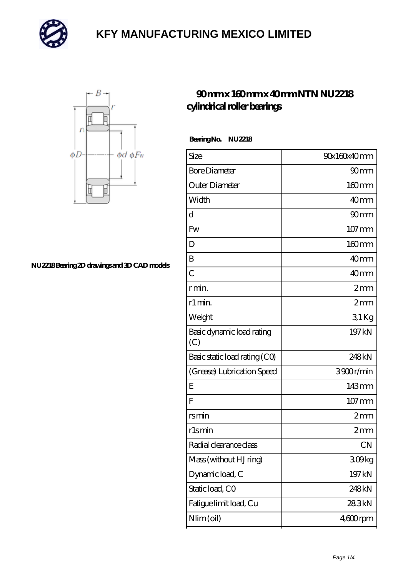



#### **[NU2218 Bearing 2D drawings and 3D CAD models](https://m.mailemotion.tv/pic-409661.html)**

#### **[90 mm x 160 mm x 40 mm NTN NU2218](https://m.mailemotion.tv/bs-409661-ntn-nu2218-cylindrical-roller-bearings.html) [cylindrical roller bearings](https://m.mailemotion.tv/bs-409661-ntn-nu2218-cylindrical-roller-bearings.html)**

 **Bearing No. NU2218**

| Size                             | 90x160x40mm         |
|----------------------------------|---------------------|
| <b>Bore Diameter</b>             | 90 <sub>mm</sub>    |
| Outer Diameter                   | 160mm               |
| Width                            | 40 <sub>mm</sub>    |
| d                                | 90mm                |
| Fw                               | $107 \,\mathrm{mm}$ |
| D                                | $160$ mm            |
| B                                | 40 <sub>mm</sub>    |
| $\overline{C}$                   | 40 <sub>mm</sub>    |
| rmin                             | 2mm                 |
| r1 min.                          | 2mm                 |
| Weight                           | $31$ Kg             |
| Basic dynamic load rating<br>(C) | 197 kN              |
| Basic static load rating (CO)    | 248kN               |
| (Grease) Lubrication Speed       | 3900r/min           |
| Ε                                | 143mm               |
| F                                | $107$ mm            |
| rsmin                            | 2mm                 |
| r1smin                           | 2mm                 |
| Radial clearance class           | <b>CN</b>           |
| Mass (without HJ ring)           | 309kg               |
| Dynamic load, C                  | 197 kN              |
| Static load, CO                  | 248kN               |
| Fatigue limit load, Cu           | 283kN               |
| Nlim (oil)                       | $460$ rpm           |
|                                  |                     |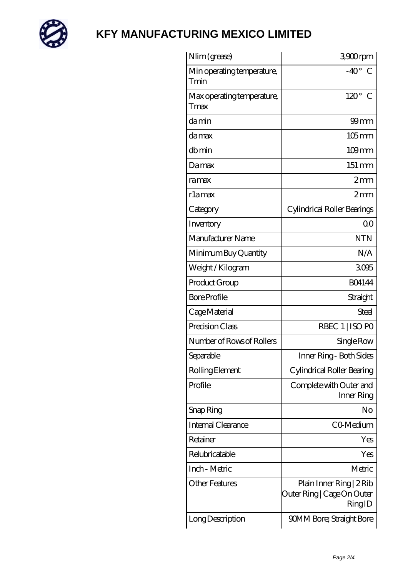

| Nlim (grease)                      | 3900rpm                                                          |
|------------------------------------|------------------------------------------------------------------|
| Min operating temperature,<br>Tmin | $-40^{\circ}$<br>$\mathcal{C}$                                   |
| Max operating temperature,<br>Tmax | $120^\circ$<br>$\mathcal C$                                      |
| damin                              | $99$ mm                                                          |
| damax                              | $105$ <sub>mm</sub>                                              |
| dbmin                              | $109$ mm                                                         |
| Damax                              | 151 mm                                                           |
| ramax                              | 2mm                                                              |
| rlamax                             | 2mm                                                              |
| Category                           | Cylindrical Roller Bearings                                      |
| Inventory                          | 0 <sup>0</sup>                                                   |
| Manufacturer Name                  | <b>NTN</b>                                                       |
| Minimum Buy Quantity               | N/A                                                              |
| Weight / Kilogram                  | 3095                                                             |
| Product Group                      | <b>BO4144</b>                                                    |
| <b>Bore Profile</b>                | Straight                                                         |
| Cage Material                      | Steel                                                            |
| Precision Class                    | RBEC 1   ISO PO                                                  |
| Number of Rows of Rollers          | Single Row                                                       |
| Separable                          | Inner Ring - Both Sides                                          |
| Rolling Element                    | Cylindrical Roller Bearing                                       |
| Profile                            | Complete with Outer and<br>Inner Ring                            |
| Snap Ring                          | No                                                               |
| Internal Clearance                 | CO-Medium                                                        |
| Retainer                           | Yes                                                              |
| Relubricatable                     | Yes                                                              |
| Inch - Metric                      | Metric                                                           |
| <b>Other Features</b>              | Plain Inner Ring   2 Rib<br>Outer Ring   Cage On Outer<br>RingID |
| Long Description                   | 90MM Bore; Straight Bore                                         |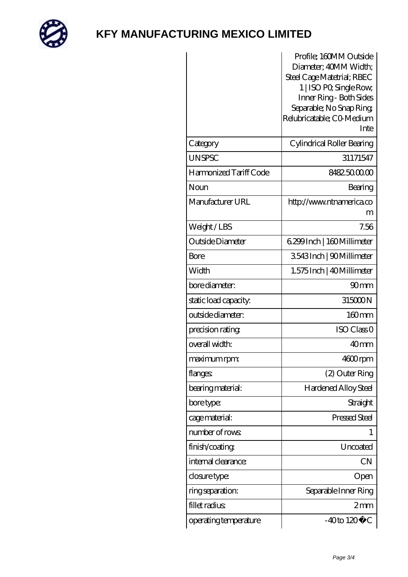

|                        | Profile; 160MM Outside            |
|------------------------|-----------------------------------|
|                        | Diameter; 40MM Width;             |
|                        | Steel Cage Matetrial; RBEC        |
|                        | 1   ISO PO, Single Row,           |
|                        | Inner Ring - Both Sides           |
|                        | Separable; No Snap Ring           |
|                        | Relubricatable; CO Medium<br>Inte |
|                        |                                   |
| Category               | Cylindrical Roller Bearing        |
| <b>UNSPSC</b>          | 31171547                          |
| Harmonized Tariff Code | 8482.5000.00                      |
| Noun                   | Bearing                           |
| Manufacturer URL       | http://www.ntnamerica.co          |
|                        | m                                 |
| Weight/LBS             | 7.56                              |
| Outside Diameter       | 6.299 Inch   160 Millimeter       |
| Bore                   | 3543Inch   90Millimeter           |
| Width                  | 1.575 Inch   40 Millimeter        |
| bore diameter:         | 90 <sub>mm</sub>                  |
| static load capacity:  | 315000N                           |
| outside diameter:      | $160$ <sub>mm</sub>               |
| precision rating       | ISO Class O                       |
| overall width:         | 40 <sub>mm</sub>                  |
| maximum rpm:           | 4600rpm                           |
| flanges:               | (2) Outer Ring                    |
| bearing material:      | Hardened Alloy Steel              |
| bore type:             | Straight                          |
| cage material:         | Pressed Steel                     |
| number of rows         | 1                                 |
| finish/coating         | Uncoated                          |
| internal clearance:    | <b>CN</b>                         |
| closure type:          | Open                              |
| ring separation:       | Separable Inner Ring              |
| fillet radius          | $2 \text{mm}$                     |
| operating temperature  | $-40$ to $120^{\circ}$ C          |